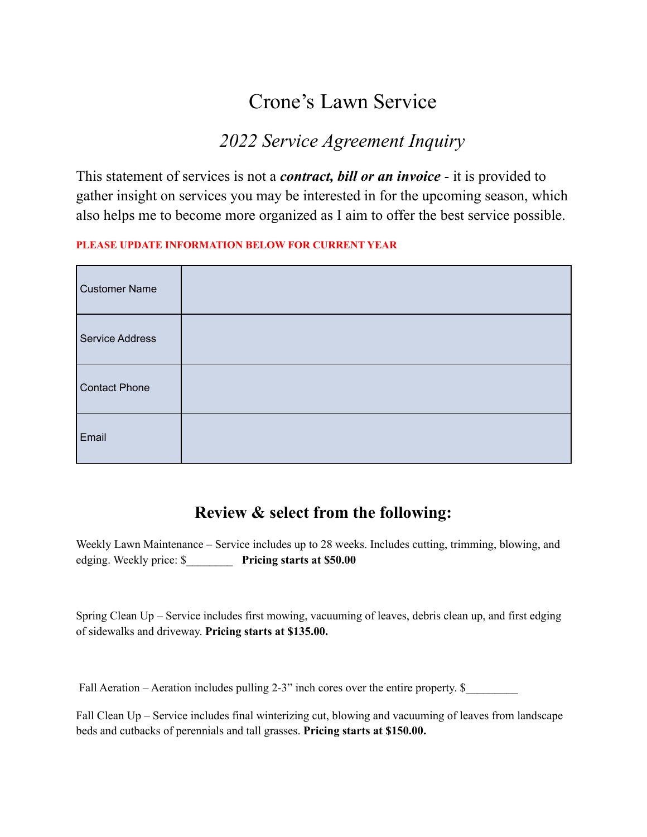# Crone's Lawn Service

## *2022 Service Agreement Inquiry*

This statement of services is not a *contract, bill or an invoice* - it is provided to gather insight on services you may be interested in for the upcoming season, which also helps me to become more organized as I aim to offer the best service possible.

#### **PLEASE UPDATE INFORMATION BELOW FOR CURRENT YEAR**

| <b>Customer Name</b>   |  |
|------------------------|--|
| <b>Service Address</b> |  |
| <b>Contact Phone</b>   |  |
| Email                  |  |

### **Review & select from the following:**

Weekly Lawn Maintenance – Service includes up to 28 weeks. Includes cutting, trimming, blowing, and edging. Weekly price: \$\_\_\_\_\_\_\_\_ **Pricing starts at \$50.00**

Spring Clean Up – Service includes first mowing, vacuuming of leaves, debris clean up, and first edging of sidewalks and driveway. **Pricing starts at \$135.00.**

Fall Aeration – Aeration includes pulling 2-3" inch cores over the entire property.  $\$ 

Fall Clean Up – Service includes final winterizing cut, blowing and vacuuming of leaves from landscape beds and cutbacks of perennials and tall grasses. **Pricing starts at \$150.00.**